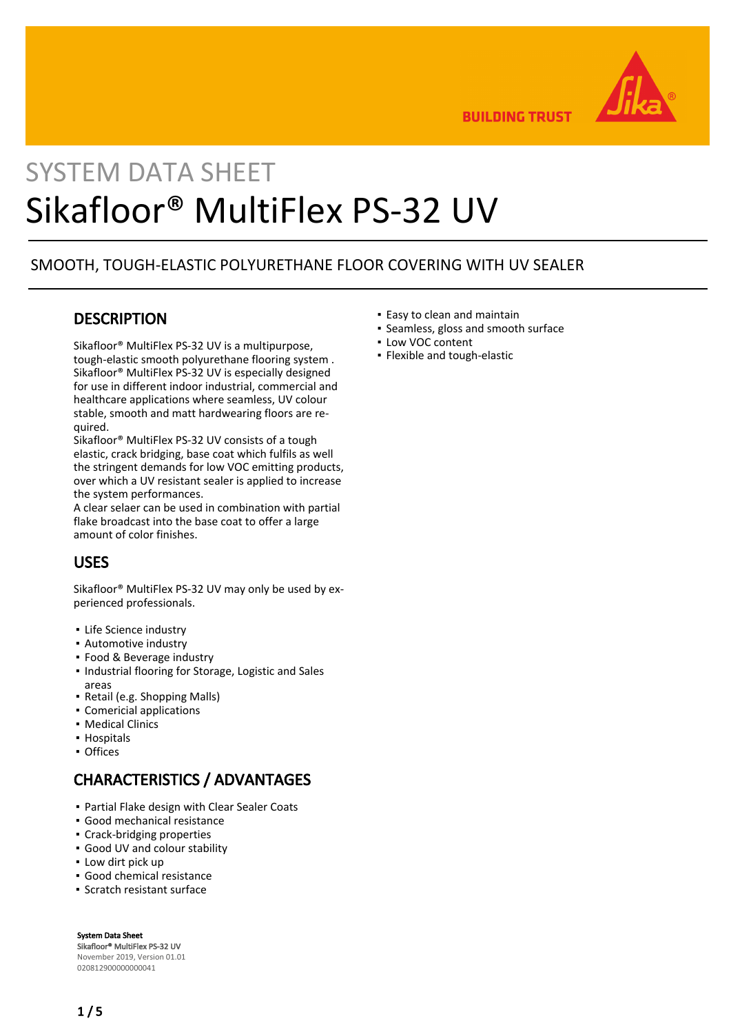

**BUILDING TRUST** 

# SYSTEM DATA SHEET Sikafloor® MultiFlex PS-32 UV

#### SMOOTH, TOUGH-ELASTIC POLYURETHANE FLOOR COVERING WITH UV SEALER

### **DESCRIPTION**

Sikafloor® MultiFlex PS-32 UV is a multipurpose, tough-elastic smooth polyurethane flooring system . Sikafloor® MultiFlex PS-32 UV is especially designed for use in different indoor industrial, commercial and healthcare applications where seamless, UV colour stable, smooth and matt hardwearing floors are required.

Sikafloor® MultiFlex PS-32 UV consists of a tough elastic, crack bridging, base coat which fulfils as well the stringent demands for low VOC emitting products, over which a UV resistant sealer is applied to increase the system performances.

A clear selaer can be used in combination with partial flake broadcast into the base coat to offer a large amount of color finishes.

# USES

Sikafloor® MultiFlex PS-32 UV may only be used by experienced professionals.

- **·** Life Science industry
- Automotive industry
- Food & Beverage industry
- **.** Industrial flooring for Storage, Logistic and Sales areas
- Retail (e.g. Shopping Malls)
- Comericial applications
- Medical Clinics
- Hospitals
- Offices

# CHARACTERISTICS / ADVANTAGES

- Partial Flake design with Clear Sealer Coats
- Good mechanical resistance
- Crack-bridging properties
- Good UV and colour stability
- Low dirt pick up
- Good chemical resistance
- Scratch resistant surface

System Data Sheet Sikafloor® MultiFlex PS-32 UV November 2019, Version 01.01 020812900000000041

- Easy to clean and maintain
- Seamless, gloss and smooth surface
- Low VOC content
- Flexible and tough-elastic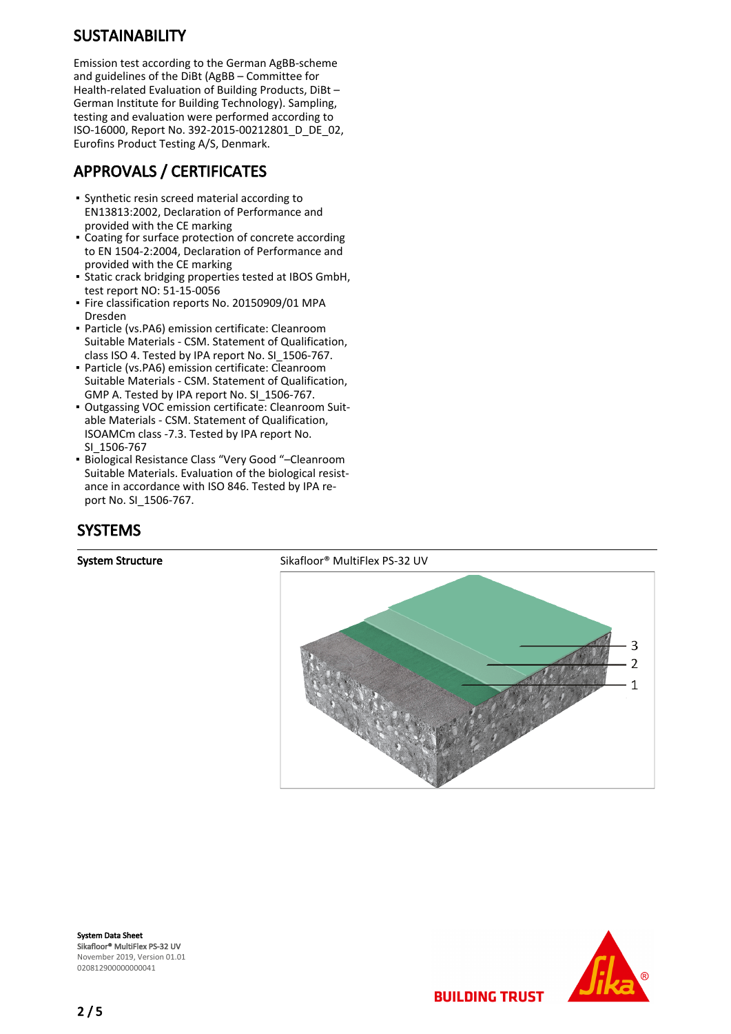# **SUSTAINABILITY**

Emission test according to the German AgBB-scheme and guidelines of the DiBt (AgBB – Committee for Health-related Evaluation of Building Products, DiBt – German Institute for Building Technology). Sampling, testing and evaluation were performed according to ISO-16000, Report No. 392-2015-00212801\_D\_DE\_02, Eurofins Product Testing A/S, Denmark.

# APPROVALS / CERTIFICATES

- Synthetic resin screed material according to EN13813:2002, Declaration of Performance and provided with the CE marking
- Coating for surface protection of concrete according to EN 1504-2:2004, Declaration of Performance and provided with the CE marking
- **•** Static crack bridging properties tested at IBOS GmbH, test report NO: 51-15-0056
- Fire classification reports No. 20150909/01 MPA Dresden
- Particle (vs.PA6) emission certificate: Cleanroom Suitable Materials - CSM. Statement of Qualification, class ISO 4. Tested by IPA report No. SI\_1506-767.
- Particle (vs.PA6) emission certificate: Cleanroom Suitable Materials - CSM. Statement of Qualification, GMP A. Tested by IPA report No. SI\_1506-767.
- **Outgassing VOC emission certificate: Cleanroom Suit**able Materials - CSM. Statement of Qualification, ISOAMCm class -7.3. Tested by IPA report No. SI\_1506-767
- Biological Resistance Class "Very Good "–Cleanroom Suitable Materials. Evaluation of the biological resistance in accordance with ISO 846. Tested by IPA report No. SI\_1506-767.

# **SYSTEMS**



**BUILDING TRUST** 

System Data Sheet Sikafloor® MultiFlex PS-32 UV November 2019, Version 01.01 020812900000000041



2 / 5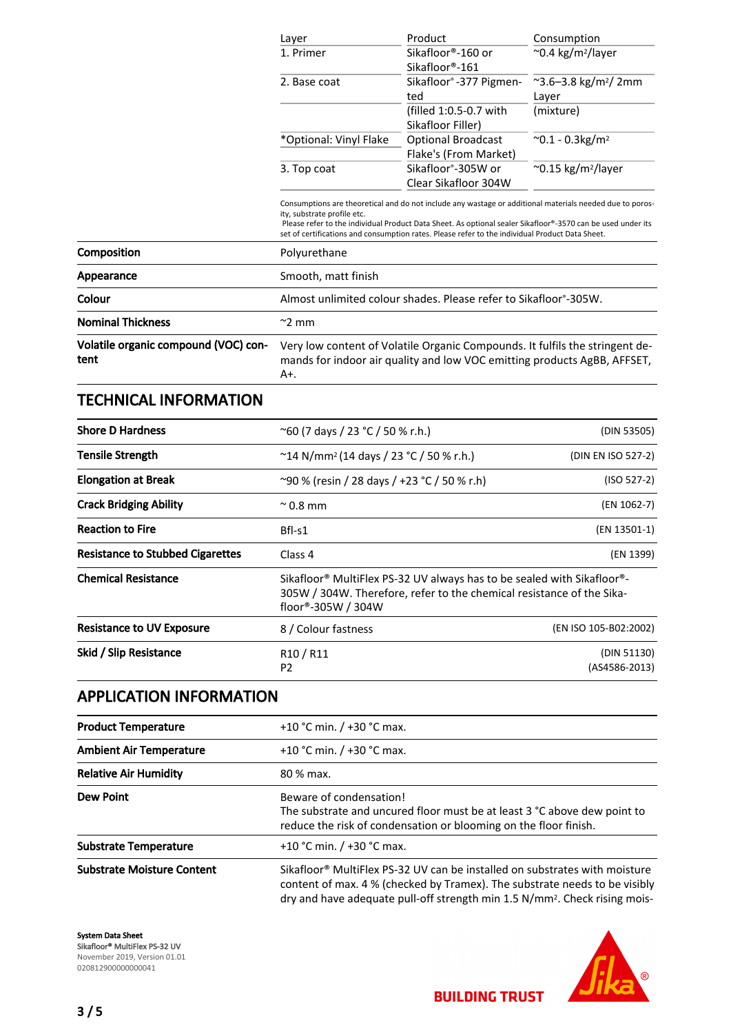|                                              | Layer                                                                                                                                                             | Product                                                                                                                                                                                                                                                                                                                    | Consumption                               |  |
|----------------------------------------------|-------------------------------------------------------------------------------------------------------------------------------------------------------------------|----------------------------------------------------------------------------------------------------------------------------------------------------------------------------------------------------------------------------------------------------------------------------------------------------------------------------|-------------------------------------------|--|
|                                              | 1. Primer                                                                                                                                                         | Sikafloor®-160 or<br>Sikafloor®-161                                                                                                                                                                                                                                                                                        | $\sim$ 0.4 kg/m <sup>2</sup> /layer       |  |
|                                              | 2. Base coat                                                                                                                                                      | Sikafloor®-377 Pigmen-<br>ted                                                                                                                                                                                                                                                                                              | ~3.6-3.8 kg/m <sup>2</sup> / 2mm<br>Layer |  |
|                                              |                                                                                                                                                                   | (filled 1:0.5-0.7 with<br>Sikafloor Filler)                                                                                                                                                                                                                                                                                | (mixture)                                 |  |
|                                              | *Optional: Vinyl Flake                                                                                                                                            | <b>Optional Broadcast</b><br>Flake's (From Market)                                                                                                                                                                                                                                                                         | $^{\sim}$ 0.1 - 0.3kg/m <sup>2</sup>      |  |
|                                              | 3. Top coat                                                                                                                                                       | Sikafloor <sup>®</sup> -305W or<br>Clear Sikafloor 304W                                                                                                                                                                                                                                                                    | $\sim$ 0.15 kg/m <sup>2</sup> /layer      |  |
|                                              | ity, substrate profile etc.                                                                                                                                       | Consumptions are theoretical and do not include any wastage or additional materials needed due to poros-<br>Please refer to the individual Product Data Sheet. As optional sealer Sikafloor®-3570 can be used under its<br>set of certifications and consumption rates. Please refer to the individual Product Data Sheet. |                                           |  |
| Composition                                  | Polyurethane                                                                                                                                                      |                                                                                                                                                                                                                                                                                                                            |                                           |  |
| Appearance                                   | Smooth, matt finish                                                                                                                                               |                                                                                                                                                                                                                                                                                                                            |                                           |  |
| Colour                                       |                                                                                                                                                                   | Almost unlimited colour shades. Please refer to Sikafloor <sup>®</sup> -305W.                                                                                                                                                                                                                                              |                                           |  |
| <b>Nominal Thickness</b>                     | $\approx$ 2 mm                                                                                                                                                    |                                                                                                                                                                                                                                                                                                                            |                                           |  |
| Volatile organic compound (VOC) con-<br>tent | Very low content of Volatile Organic Compounds. It fulfils the stringent de-<br>mands for indoor air quality and low VOC emitting products AgBB, AFFSET,<br>$A^+$ |                                                                                                                                                                                                                                                                                                                            |                                           |  |
| <b>TECHNICAL INFORMATION</b>                 |                                                                                                                                                                   |                                                                                                                                                                                                                                                                                                                            |                                           |  |
| <b>Shore D Hardness</b>                      | $^{\circ}$ 60 (7 days / 23 °C / 50 % r.h.)                                                                                                                        |                                                                                                                                                                                                                                                                                                                            | (DIN 53505)                               |  |
| <b>Tensile Strength</b>                      | $~^{\sim}$ 14 N/mm <sup>2</sup> (14 days / 23 °C / 50 % r.h.)                                                                                                     |                                                                                                                                                                                                                                                                                                                            | (DIN EN ISO 527-2)                        |  |
|                                              |                                                                                                                                                                   |                                                                                                                                                                                                                                                                                                                            |                                           |  |

| <b>Elongation at Break</b>              | ~90 % (resin / 28 days / +23 °C / 50 % r.h)<br>$(ISO 527-2)$                                                                                                                                   |                              |
|-----------------------------------------|------------------------------------------------------------------------------------------------------------------------------------------------------------------------------------------------|------------------------------|
| <b>Crack Bridging Ability</b>           | $^{\sim}$ 0.8 mm                                                                                                                                                                               | (EN 1062-7)                  |
| <b>Reaction to Fire</b>                 | (EN 13501-1)<br>$Bfl-S1$                                                                                                                                                                       |                              |
| <b>Resistance to Stubbed Cigarettes</b> | Class 4                                                                                                                                                                                        | (EN 1399)                    |
| <b>Chemical Resistance</b>              | Sikafloor <sup>®</sup> MultiFlex PS-32 UV always has to be sealed with Sikafloor <sup>®</sup> -<br>305W / 304W. Therefore, refer to the chemical resistance of the Sika-<br>floor®-305W / 304W |                              |
| <b>Resistance to UV Exposure</b>        | 8 / Colour fastness                                                                                                                                                                            | (EN ISO 105-B02:2002)        |
| Skid / Slip Resistance                  | R <sub>10</sub> / R <sub>11</sub><br>P <sub>2</sub>                                                                                                                                            | (DIN 51130)<br>(AS4586-2013) |

# APPLICATION INFORMATION

| <b>Product Temperature</b>        | +10 °C min. $/$ +30 °C max.                                                                                                                                                                                                                        |  |
|-----------------------------------|----------------------------------------------------------------------------------------------------------------------------------------------------------------------------------------------------------------------------------------------------|--|
| <b>Ambient Air Temperature</b>    | +10 °C min. $/$ +30 °C max.                                                                                                                                                                                                                        |  |
| <b>Relative Air Humidity</b>      | 80 % max.                                                                                                                                                                                                                                          |  |
| <b>Dew Point</b>                  | Beware of condensation!<br>The substrate and uncured floor must be at least 3 °C above dew point to<br>reduce the risk of condensation or blooming on the floor finish.                                                                            |  |
| <b>Substrate Temperature</b>      | +10 °C min. $/$ +30 °C max.                                                                                                                                                                                                                        |  |
| <b>Substrate Moisture Content</b> | Sikafloor® MultiFlex PS-32 UV can be installed on substrates with moisture<br>content of max. 4 % (checked by Tramex). The substrate needs to be visibly<br>dry and have adequate pull-off strength min 1.5 N/mm <sup>2</sup> . Check rising mois- |  |

System Data Sheet Sikafloor® MultiFlex PS-32 UV November 2019, Version 01.01 020812900000000041



**BUILDING TRUST**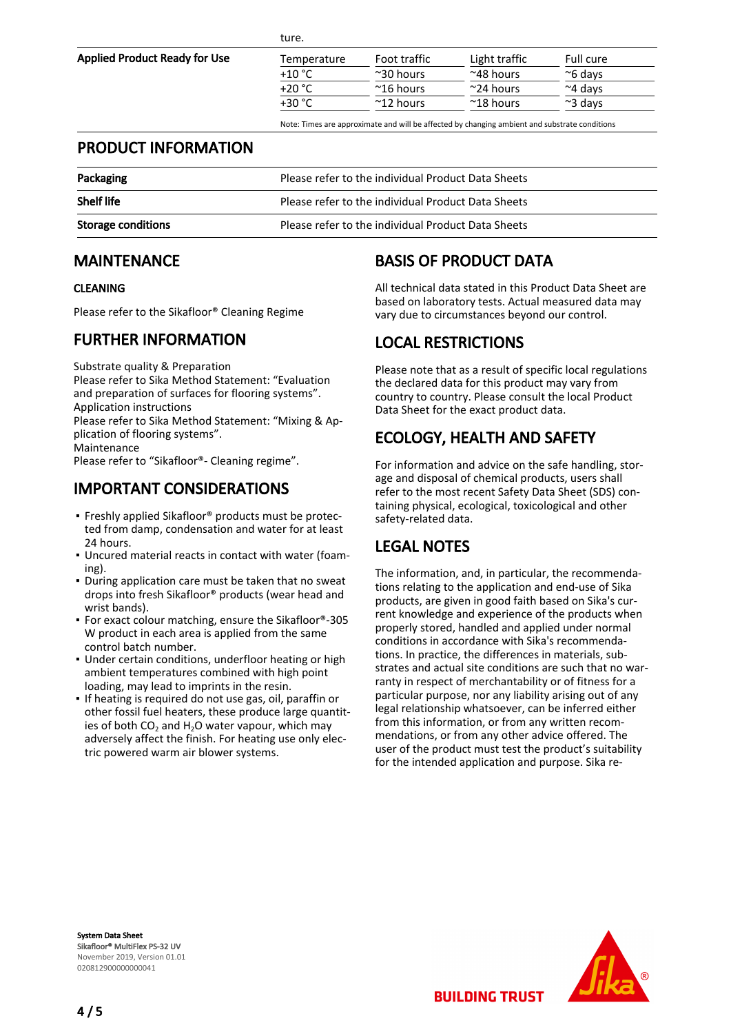| $-$<br>×<br>v |  |
|---------------|--|
|---------------|--|

Applied Product Ready for Use

| Temperature | Foot traffic        | Light traffic       | Full cure        |
|-------------|---------------------|---------------------|------------------|
| $+10 °C$    | $~^{\sim}$ 30 hours | $~^{\sim}$ 48 hours | $\approx$ 6 days |
| $+20 °C$    | $^{\sim}$ 16 hours  | $\approx$ 24 hours  | $~\sim$ 4 days   |
| +30 °C      | $~^{\sim}$ 12 hours | $^{\sim}$ 18 hours  | $\approx$ 3 days |

Note: Times are approximate and will be affected by changing ambient and substrate conditions

### PRODUCT INFORMATION

| Packaging                 | Please refer to the individual Product Data Sheets |
|---------------------------|----------------------------------------------------|
| <b>Shelf life</b>         | Please refer to the individual Product Data Sheets |
| <b>Storage conditions</b> | Please refer to the individual Product Data Sheets |

#### MAINTENANCE

#### CLEANING

Please refer to the Sikafloor® Cleaning Regime

### FURTHER INFORMATION

Substrate quality & Preparation

Please refer to Sika Method Statement: "Evaluation and preparation of surfaces for flooring systems".

Application instructions

Please refer to Sika Method Statement: "Mixing & Application of flooring systems".

Maintenance

Please refer to "Sikafloor®- Cleaning regime".

# IMPORTANT CONSIDERATIONS

- Freshly applied Sikafloor® products must be protected from damp, condensation and water for at least 24 hours.
- Uncured material reacts in contact with water (foam-▪ ing).
- During application care must be taken that no sweat drops into fresh Sikafloor® products (wear head and wrist bands).
- For exact colour matching, ensure the Sikafloor®-305 W product in each area is applied from the same control batch number.
- **.** Under certain conditions, underfloor heating or high ambient temperatures combined with high point loading, may lead to imprints in the resin.
- If heating is required do not use gas, oil, paraffin or other fossil fuel heaters, these produce large quantities of both  $CO_2$  and H<sub>2</sub>O water vapour, which may adversely affect the finish. For heating use only electric powered warm air blower systems.

# BASIS OF PRODUCT DATA

All technical data stated in this Product Data Sheet are based on laboratory tests. Actual measured data may vary due to circumstances beyond our control.

# LOCAL RESTRICTIONS

Please note that as a result of specific local regulations the declared data for this product may vary from country to country. Please consult the local Product Data Sheet for the exact product data.

# ECOLOGY, HEALTH AND SAFETY

For information and advice on the safe handling, storage and disposal of chemical products, users shall refer to the most recent Safety Data Sheet (SDS) containing physical, ecological, toxicological and other safety-related data.

# LEGAL NOTES

The information, and, in particular, the recommendations relating to the application and end-use of Sika products, are given in good faith based on Sika's current knowledge and experience of the products when properly stored, handled and applied under normal conditions in accordance with Sika's recommendations. In practice, the differences in materials, substrates and actual site conditions are such that no warranty in respect of merchantability or of fitness for a particular purpose, nor any liability arising out of any legal relationship whatsoever, can be inferred either from this information, or from any written recommendations, or from any other advice offered. The user of the product must test the product's suitability for the intended application and purpose. Sika re-

System Data Sheet Sikafloor® MultiFlex PS-32 UV November 2019, Version 01.01 020812900000000041



**BUILDING TRUST**